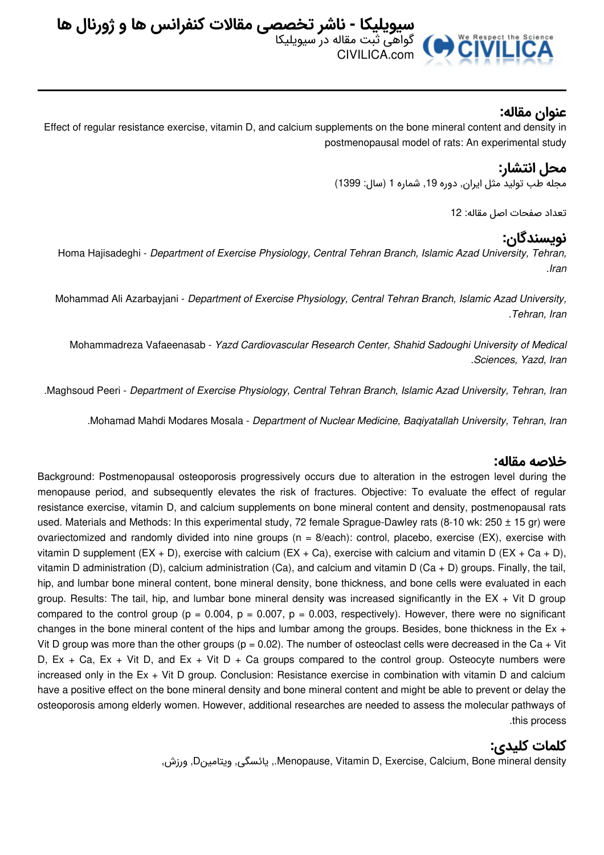

### **عنوان مقاله:**

Effect of regular resistance exercise, vitamin D, and calcium supplements on the bone mineral content and density in postmenopausal model of rats: An experimental study

## **محل انتشار:**

مجله طب تولید مثل ایران, دوره ,19 شماره 1 (سال: 1399)

تعداد صفحات اصل مقاله: 12

#### **نویسندگان:**

Homa Hajisadeghi - *Department of Exercise Physiology, Central Tehran Branch, Islamic Azad University, Tehran, .Iran*

Mohammad Ali Azarbayjani - *Department of Exercise Physiology, Central Tehran Branch, Islamic Azad University, .Tehran, Iran*

Mohammadreza Vafaeenasab - *Yazd Cardiovascular Research Center, Shahid Sadoughi University of Medical .Sciences, Yazd, Iran*

*.*Maghsoud Peeri - *Department of Exercise Physiology, Central Tehran Branch, Islamic Azad University, Tehran, Iran*

*.*Mohamad Mahdi Modares Mosala - *Department of Nuclear Medicine, Baqiyatallah University, Tehran, Iran*

#### **خلاصه مقاله:**

Background: Postmenopausal osteoporosis progressively occurs due to alteration in the estrogen level during the menopause period, and subsequently elevates the risk of fractures. Objective: To evaluate the effect of regular resistance exercise, vitamin D, and calcium supplements on bone mineral content and density, postmenopausal rats used. Materials and Methods: In this experimental study, 72 female Sprague-Dawley rats (8-10 wk: 250  $\pm$  15 gr) were ovariectomized and randomly divided into nine groups (n = 8/each): control, placebo, exercise (EX), exercise with vitamin D supplement (EX + D), exercise with calcium (EX + Ca), exercise with calcium and vitamin D (EX + Ca + D), vitamin D administration (D), calcium administration (Ca), and calcium and vitamin D (Ca + D) groups. Finally, the tail, hip, and lumbar bone mineral content, bone mineral density, bone thickness, and bone cells were evaluated in each group. Results: The tail, hip, and lumbar bone mineral density was increased significantly in the EX + Vit D group compared to the control group ( $p = 0.004$ ,  $p = 0.007$ ,  $p = 0.003$ , respectively). However, there were no significant changes in the bone mineral content of the hips and lumbar among the groups. Besides, bone thickness in the Ex  $+$ Vit D group was more than the other groups ( $p = 0.02$ ). The number of osteoclast cells were decreased in the Ca + Vit D,  $Ex + Ca$ ,  $Ex + Vit D$ , and  $Ex + Vit D + Ca$  groups compared to the control group. Osteocyte numbers were increased only in the Ex + Vit D group. Conclusion: Resistance exercise in combination with vitamin D and calcium have a positive effect on the bone mineral density and bone mineral content and might be able to prevent or delay the osteoporosis among elderly women. However, additional researches are needed to assess the molecular pathways of .this process

# **کلمات کلیدی:**

,ورزش ,Dویتامین ,یائسگی ,.Menopause, Vitamin D, Exercise, Calcium, Bone mineral density